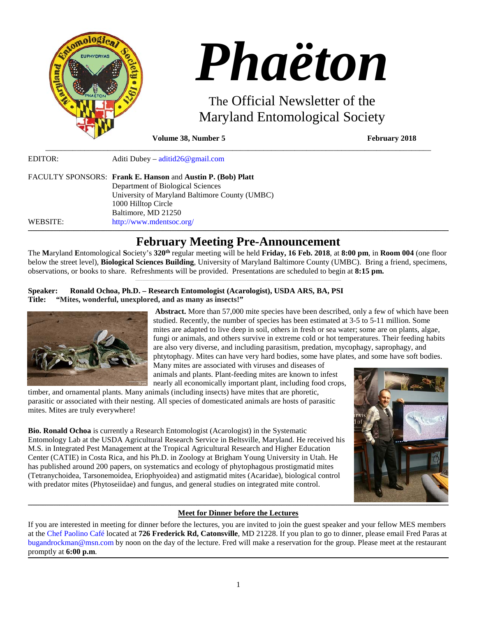

| LDITOR.  | $A$ unti Dubey – auntiuzo e ginanteomi                      |
|----------|-------------------------------------------------------------|
|          | FACULTY SPONSORS: Frank E. Hanson and Austin P. (Bob) Platt |
|          | Department of Biological Sciences                           |
|          | University of Maryland Baltimore County (UMBC)              |
|          | 1000 Hilltop Circle                                         |
|          | Baltimore, MD 21250                                         |
| WEBSITE: | http://www.mdentsoc.org/                                    |
|          |                                                             |

# **\_\_\_\_\_\_\_\_\_\_\_\_\_\_\_\_\_\_\_\_\_\_\_\_\_\_\_\_\_\_\_\_\_\_\_\_\_\_\_\_\_\_\_\_\_\_\_\_\_\_\_\_\_\_\_\_\_\_\_\_\_\_\_\_\_\_\_\_\_\_\_\_\_\_\_\_\_\_\_\_\_\_\_\_\_\_\_\_\_\_\_\_\_\_\_\_\_\_\_\_\_\_\_\_\_\_\_\_\_\_\_\_\_\_\_\_\_\_\_\_\_\_\_\_\_\_\_\_\_\_\_\_\_\_\_\_\_\_\_\_\_\_\_\_\_\_\_\_\_\_\_\_\_\_\_\_\_\_\_\_\_\_\_\_\_\_\_\_\_\_\_\_\_\_\_\_\_\_\_\_\_\_\_\_\_\_\_\_\_\_\_\_\_\_\_\_\_\_\_\_\_\_\_\_\_\_\_\_\_\_\_\_\_\_\_\_\_\_\_\_\_\_\_\_\_\_\_\_\_\_\_\_\_\_\_\_\_\_\_\_\_\_\_\_\_\_\_\_\_\_\_\_\_\_\_\_\_\_\_\_\_\_\_\_\_\_\_\_\_\_\_\_\_\_\_\_\_\_\_\_\_\_\_\_\_\_\_\_\_\_\_\_\_\_\_\_\_\_\_\_\_\_\_\_\_\_\_\_\_\_\_\_\_\_\_\_\_\_\_\_\_\_\_\_\_\_\_\_\_\_\_\_\_\_\_\_\_\_\_\_\_\_\_\_\_\_\_\_\_\_\_\_\_\_\_\_\_\_\_\_ February Meeting Pre-Announcement**

The **M**aryland **E**ntomological **S**ociety's **320th** regular meeting will be held **Friday, 16 Feb. 2018**, at **8:00 pm**, in **Room 004** (one floor below the street level), **Biological Sciences Building**, University of Maryland Baltimore County (UMBC). Bring a friend, specimens, observations, or books to share. Refreshments will be provided. Presentations are scheduled to begin at **8:15 pm.**

## **Speaker: Ronald Ochoa, Ph.D. – Research Entomologist (Acarologist), USDA ARS, BA, PSI Title: "Mites, wonderful, unexplored, and as many as insects!"**



**Abstract.** More than 57,000 mite species have been described, only a few of which have been studied. Recently, the number of species has been estimated at 3-5 to 5-11 million. Some mites are adapted to live deep in soil, others in fresh or sea water; some are on plants, algae, fungi or animals, and others survive in extreme cold or hot temperatures. Their feeding habits are also very diverse, and including parasitism, predation, mycophagy, saprophagy, and phtytophagy. Mites can have very hard bodies, some have plates, and some have soft bodies.

Many mites are associated with viruses and diseases of animals and plants. Plant-feeding mites are known to infest nearly all economically important plant, including food crops,

timber, and ornamental plants. Many animals (including insects) have mites that are phoretic, parasitic or associated with their nesting. All species of domesticated animals are hosts of parasitic mites. Mites are truly everywhere!

**Bio. Ronald Ochoa** is currently a Research Entomologist (Acarologist) in the Systematic Entomology Lab at the USDA Agricultural Research Service in Beltsville, Maryland. He received his M.S. in Integrated Pest Management at the Tropical Agricultural Research and Higher Education Center (CATIE) in Costa Rica, and his Ph.D. in Zoology at Brigham Young University in Utah. He has published around 200 papers, on systematics and ecology of phytophagous prostigmatid mites (Tetranychoidea, Tarsonemoidea, Eriophyoidea) and astigmatid mites (Acaridae), biological control with predator mites (Phytoseiidae) and fungus, and general studies on integrated mite control.

#### **\_\_\_\_\_\_\_\_\_\_\_\_\_\_\_\_\_\_\_\_\_\_\_\_\_\_\_\_\_\_\_\_\_\_\_\_\_\_\_\_\_\_\_\_\_\_\_\_\_\_\_\_\_\_\_\_\_\_\_\_\_\_\_\_\_\_\_\_\_\_\_\_\_\_\_\_\_\_\_\_\_\_\_\_\_\_\_\_\_\_\_\_\_\_\_\_\_\_\_\_\_\_\_\_\_\_\_\_\_\_\_\_\_\_\_\_\_\_\_\_\_\_\_\_\_\_\_\_\_\_\_\_\_\_\_\_\_\_\_\_\_\_\_\_\_\_\_\_\_\_\_\_\_\_\_\_\_\_\_\_\_\_\_\_\_\_\_\_\_\_\_\_\_\_\_\_\_\_\_\_\_\_\_\_\_\_\_\_\_\_\_\_\_\_\_\_\_\_\_\_\_\_\_\_\_\_\_\_\_\_\_\_\_\_\_\_\_\_\_\_\_\_\_\_\_\_\_\_\_\_\_\_\_\_\_\_\_\_\_\_\_\_\_\_\_\_\_\_\_\_\_\_\_\_\_\_\_\_\_\_\_\_\_\_\_\_\_\_\_\_\_\_\_\_\_\_\_\_\_\_\_\_\_\_\_\_\_\_\_\_\_\_\_\_\_\_\_\_\_\_\_\_\_\_\_\_\_\_\_\_\_\_\_\_\_\_\_\_\_\_\_\_\_\_\_\_\_\_\_\_\_\_\_\_\_\_\_\_\_\_\_\_\_\_\_\_\_\_\_\_\_\_\_\_\_\_\_\_\_\_ Meet for Dinner before the Lectures**

If you are interested in meeting for dinner before the lectures, you are invited to join the guest speaker and your fellow MES members at the [Chef Paolino Café](https://www.google.com/maps/place/Chef+Paolino+Cafe/@39.2727924,-76.7320191,15z/data=!4m5!3m4!1s0x0:0x5b7140dd2ad4f543!8m2!3d39.2727924!4d-76.7320191) located at **726 Frederick Rd, Catonsville**, MD 21228. If you plan to go to dinner, please email Fred Paras at bugandrockman@msn.com by noon on the day of the lecture. Fred will make a reservation for the group. Please meet at the restaurant promptly at **6:00 p.m**.

**\_\_\_\_\_\_\_\_\_\_\_\_\_\_\_\_\_\_\_\_\_\_\_\_\_\_\_\_\_\_\_\_\_\_\_\_\_\_\_\_\_\_\_\_\_\_\_\_\_\_\_\_\_\_\_\_\_\_\_\_\_\_\_\_\_\_\_\_\_\_\_\_\_\_\_\_\_\_\_\_\_\_\_\_\_\_\_\_\_\_\_\_\_\_\_\_\_\_\_\_\_\_\_\_\_\_\_\_\_\_\_\_\_\_\_\_\_\_\_\_\_\_\_\_\_\_\_\_\_\_\_\_\_\_\_\_\_\_\_\_\_\_\_\_\_\_\_\_\_\_\_\_\_\_\_\_\_\_\_\_\_\_\_\_\_\_\_\_\_\_\_\_\_\_\_\_\_\_\_\_\_\_\_\_\_\_\_\_\_\_\_\_\_\_\_\_\_\_\_\_\_\_\_\_\_\_\_\_\_\_\_\_\_\_\_\_\_\_\_\_\_\_\_\_\_\_\_\_\_\_\_\_\_\_\_\_\_\_\_\_\_\_\_\_\_\_\_\_\_\_\_\_\_\_\_\_\_\_\_\_\_\_\_\_\_\_\_\_\_\_\_\_\_\_\_\_\_\_\_\_\_\_\_\_\_\_\_\_\_\_\_\_\_\_\_\_\_\_\_\_\_\_\_\_\_\_\_\_\_\_\_\_\_\_\_\_\_\_\_\_\_\_\_\_\_\_\_\_\_\_\_\_\_\_\_\_\_\_\_\_\_\_\_\_\_\_\_\_\_\_\_\_\_\_\_\_\_\_\_\_**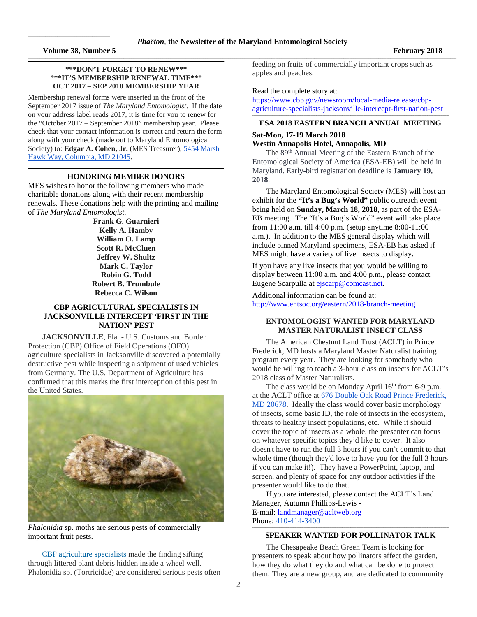$\mathcal{L}_\text{max}$  and  $\mathcal{L}_\text{max}$  and  $\mathcal{L}_\text{max}$  are the set of the set of the set of the set of the set of the set of the set of the set of the set of the set of the set of the set of the set of the set of the set of th

### **\*\*\*DON'T FORGET TO RENEW\*\*\* \*\*\*IT'S MEMBERSHIP RENEWAL TIME\*\*\* OCT 2017 – SEP 2018 MEMBERSHIP YEAR**

**\_\_\_\_\_\_\_\_\_\_\_\_\_\_\_\_\_\_\_\_\_\_\_\_\_\_\_\_\_\_\_\_\_\_\_\_\_\_\_\_\_\_\_\_\_\_\_\_\_\_\_\_\_\_\_\_\_\_\_\_\_\_\_\_\_\_\_\_\_\_\_\_\_\_\_\_\_\_\_\_\_\_\_\_\_\_\_\_\_\_\_\_\_\_\_\_\_\_\_\_\_\_\_\_\_\_\_\_\_\_\_\_\_\_\_\_\_\_\_\_\_\_\_\_\_\_\_\_\_\_\_\_\_\_\_\_\_\_\_\_\_\_\_\_\_\_\_\_\_\_\_\_\_\_\_\_\_\_\_\_\_\_\_\_\_\_\_\_**

Membership renewal forms were inserted in the front of the September 2017 issue of *The Maryland Entomologist*. If the date on your address label reads 2017, it is time for you to renew for the "October 2017 – September 2018" membership year. Please check that your contact information is correct and return the form along with your check (made out to Maryland Entomological Society) to: **Edgar A. Cohen, Jr.** (MES Treasurer), [5454 Marsh](https://maps.google.com/?q=5454+Marsh+Hawk+Way,+Columbia,+MD+21045&entry=gmail&source=g)  [Hawk Way, Columbia, MD 21045.](https://maps.google.com/?q=5454+Marsh+Hawk+Way,+Columbia,+MD+21045&entry=gmail&source=g)

#### **\_\_\_\_\_\_\_\_\_\_\_\_\_\_\_\_\_\_\_\_\_\_\_\_\_\_\_\_\_\_\_\_\_\_\_\_\_\_\_\_\_\_\_\_\_\_\_\_\_\_\_\_\_\_\_\_\_\_\_\_\_\_\_\_\_\_\_\_\_\_\_\_\_\_\_\_\_\_\_\_\_\_\_\_\_\_\_\_\_\_\_\_\_\_\_\_\_\_\_\_\_\_\_\_\_\_\_\_\_\_\_\_\_\_\_\_\_\_\_\_\_\_\_\_\_\_\_\_\_\_\_\_\_\_\_\_\_\_\_\_\_\_\_\_\_\_\_\_\_\_\_\_\_\_\_\_\_\_\_\_\_\_\_\_\_\_\_\_ HONORING MEMBER DONORS**

MES wishes to honor the following members who made charitable donations along with their recent membership renewals. These donations help with the printing and mailing of *The Maryland Entomologist*.

> **Frank G. Guarnieri Kelly A. Hamby William O. Lamp Scott R. McCluen Jeffrey W. Shultz Mark C. Taylor Robin G. Todd Robert B. Trumbule Rebecca C. Wilson**

## **CBP AGRICULTURAL SPECIALISTS IN JACKSONVILLE INTERCEPT 'FIRST IN THE NATION' PEST**

**\_\_\_\_\_\_\_\_\_\_\_\_\_\_\_\_\_\_\_\_\_\_\_\_\_\_\_\_\_\_\_\_\_\_\_\_\_\_\_\_\_\_\_\_\_\_\_\_\_\_\_\_\_\_\_\_\_\_\_\_\_\_\_\_\_\_\_\_\_\_\_\_\_\_\_\_\_\_\_\_\_\_\_\_\_\_\_\_\_\_\_\_\_\_\_\_\_\_\_\_\_\_\_\_\_\_\_\_\_\_\_\_\_\_\_\_\_\_\_\_\_\_\_\_\_\_\_\_\_\_\_\_\_\_\_\_\_\_\_\_\_\_\_\_\_\_\_\_\_\_\_\_\_\_\_\_\_\_\_\_\_\_\_\_\_\_\_\_**

**JACKSONVILLE**, Fla. - U.S. Customs and Border Protection (CBP) Office of Field Operations (OFO) agriculture specialists in Jacksonville discovered a potentially destructive pest while inspecting a shipment of used vehicles from Germany. The U.S. Department of Agriculture has confirmed that this marks the first interception of this pest in the United States.



*Phalonidia* sp. moths are serious pests of commercially important fruit pests.

CBP [agriculture](https://www.cbp.gov/border-security/protecting-agriculture) specialists made the finding sifting through littered plant debris hidden inside a wheel well. Phalonidia sp. (Tortricidae) are considered serious pests often feeding on fruits of commercially important crops such as apples and peaches.

### Read the complete story at:

[https://www.cbp.gov/newsroom/local-media-release/cbp](https://www.cbp.gov/newsroom/local-media-release/cbp-agriculture-specialists-jacksonville-intercept-first-nation-pest)[agriculture-specialists-jacksonville-intercept-first-nation-pest](https://www.cbp.gov/newsroom/local-media-release/cbp-agriculture-specialists-jacksonville-intercept-first-nation-pest)

#### **\_\_\_\_\_\_\_\_\_\_\_\_\_\_\_\_\_\_\_\_\_\_\_\_\_\_\_\_\_\_\_\_\_\_\_\_\_\_\_\_\_\_\_\_\_\_\_\_\_\_\_\_\_\_\_\_\_\_\_\_\_\_\_\_\_\_\_\_\_\_\_\_\_\_\_\_\_\_\_\_\_\_\_\_\_\_\_\_\_\_\_\_\_\_\_\_\_\_\_\_\_\_\_\_\_\_\_\_\_\_\_\_\_\_\_\_\_\_\_\_\_\_\_\_\_\_\_\_\_\_\_\_\_\_\_\_\_\_\_\_\_\_\_\_\_\_\_\_\_\_\_\_\_\_\_\_\_\_\_\_\_\_\_\_\_\_\_\_ ESA 2018 EASTERN BRANCH ANNUAL MEETING**

## **Sat-Mon, 17-19 March 2018**

### **Westin Annapolis Hotel, Annapolis, MD**

The 89<sup>th</sup> Annual Meeting of the Eastern Branch of the Entomological Society of America (ESA-EB) will be held in Maryland. Early-bird registration deadline is **January 19, 2018**.

The Maryland Entomological Society (MES) will host an exhibit for the **"It's a Bug's World"** public outreach event being held on **Sunday, March 18, 2018**, as part of the ESA-EB meeting. The "It's a Bug's World" event will take place from 11:00 a.m. till 4:00 p.m. (setup anytime 8:00-11:00 a.m.). In addition to the MES general display which will include pinned Maryland specimens, ESA-EB has asked if MES might have a variety of live insects to display.

If you have any live insects that you would be willing to display between 11:00 a.m. and 4:00 p.m., please contact Eugene Scarpulla at [ejscarp@comcast.net.](https://d.docs.live.net/fc9dffb43a36b539/Documents/Phaeton/ejscarp@comcast.net)

Additional information can be found at: <http://www.entsoc.org/eastern/2018-branch-meeting>

### **\_\_\_\_\_\_\_\_\_\_\_\_\_\_\_\_\_\_\_\_\_\_\_\_\_\_\_\_\_\_\_\_\_\_\_\_\_\_\_\_\_\_\_\_\_\_\_\_\_\_\_\_\_\_\_\_\_\_\_\_\_\_\_\_\_\_\_\_\_\_\_\_\_\_\_\_\_\_\_\_\_\_\_\_\_\_\_\_\_\_\_\_\_\_\_\_\_\_\_\_\_\_\_\_\_\_\_\_\_\_\_\_\_\_\_\_\_\_\_\_\_\_\_\_\_\_\_\_\_\_\_\_\_\_\_\_\_\_\_\_\_\_\_\_\_\_\_\_\_\_\_\_\_\_\_\_\_\_\_\_\_\_\_\_\_\_\_\_ ENTOMOLOGIST WANTED FOR MARYLAND MASTER NATURALIST INSECT CLASS**

The American Chestnut Land Trust (ACLT) in Prince Frederick, MD hosts a Maryland Master Naturalist training program every year. They are looking for somebody who would be willing to teach a 3-hour class on insects for ACLT's 2018 class of Master Naturalists.

The class would be on Monday April  $16<sup>th</sup>$  from 6-9 p.m. at the ACLT office at [676 Double Oak Road Prince Frederick,](https://maps.google.com/?q=676+Double+Oak+Road+Prince+Frederick,+MD+20678&entry=gmail&source=g)  [MD 20678.](https://maps.google.com/?q=676+Double+Oak+Road+Prince+Frederick,+MD+20678&entry=gmail&source=g) Ideally the class would cover basic morphology of insects, some basic ID, the role of insects in the ecosystem, threats to healthy insect populations, etc. While it should cover the topic of insects as a whole, the presenter can focus on whatever specific topics they'd like to cover. It also doesn't have to run the full 3 hours if you can't commit to that whole time (though they'd love to have you for the full 3 hours if you can make it!). They have a PowerPoint, laptop, and screen, and plenty of space for any outdoor activities if the presenter would like to do that.

If you are interested, please contact the ACLT's Land Manager, Autumn Phillips-Lewis - E-mail: [landmanager@acltweb.org](mailto:landmanager@acltweb.org)

Phone: [410-414-3400](tel:(410)%20414-3400)

#### **\_\_\_\_\_\_\_\_\_\_\_\_\_\_\_\_\_\_\_\_\_\_\_\_\_\_\_\_\_\_\_\_\_\_\_\_\_\_\_\_\_\_\_\_\_\_\_\_\_\_\_\_\_\_\_\_\_\_\_\_\_\_\_\_\_\_\_\_\_\_\_\_\_\_\_\_\_\_\_\_\_\_\_\_\_\_\_\_\_\_\_\_\_\_\_\_\_\_\_\_\_\_\_\_\_\_\_\_\_\_\_\_\_\_\_\_\_\_\_\_\_\_\_\_\_\_\_\_\_\_\_\_\_\_\_\_\_\_\_\_\_\_\_\_\_\_\_\_\_\_\_\_\_\_\_\_\_\_\_\_\_\_\_\_\_\_\_\_ SPEAKER WANTED FOR POLLINATOR TALK**

The Chesapeake Beach Green Team is looking for presenters to speak about how pollinators affect the garden, how they do what they do and what can be done to protect them. They are a new group, and are dedicated to community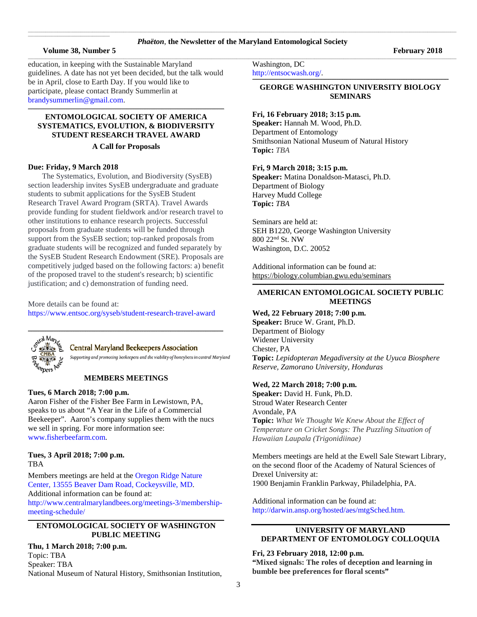# \_\_\_\_\_\_\_\_\_\_\_\_\_\_\_\_\_\_\_\_\_\_\_\_\_\_\_\_\_\_\_\_\_\_\_\_\_\_\_\_\_\_\_\_\_\_\_\_\_\_\_\_\_\_\_\_\_\_\_\_\_\_\_\_\_\_\_\_\_\_\_\_\_\_\_\_\_\_\_\_\_\_\_\_\_\_\_\_\_\_\_\_\_\_\_\_\_\_\_\_\_\_\_\_\_\_\_\_\_\_\_\_\_\_\_\_\_\_\_\_\_\_\_\_\_\_\_\_\_\_\_\_\_\_\_\_\_\_\_\_\_\_\_\_\_\_\_\_\_\_\_\_\_\_\_\_\_\_\_\_\_\_\_\_\_\_\_\_\_\_\_\_\_\_\_\_\_\_\_\_\_\_\_\_\_\_\_\_\_\_\_\_\_\_\_\_\_\_\_\_\_\_\_\_\_\_\_\_\_\_\_\_\_\_\_\_\_\_\_\_ *Phaëton*, **the Newsletter of the Maryland Entomological Society** \_\_\_\_\_\_\_\_\_\_\_\_\_\_\_\_\_\_\_\_\_\_\_\_\_\_\_\_\_\_\_\_\_\_\_\_\_\_\_\_\_\_\_\_\_\_\_\_\_\_\_\_\_\_\_\_\_\_\_\_\_\_\_\_\_\_\_\_\_\_\_\_\_\_\_\_\_\_\_\_\_\_\_\_\_\_\_\_\_\_\_\_\_\_\_\_\_\_\_\_\_\_\_\_\_\_\_\_\_\_\_\_\_\_\_\_\_\_\_\_\_\_\_\_\_\_\_\_\_\_\_\_\_\_\_\_\_\_\_\_\_\_\_\_\_\_\_\_\_\_\_\_\_\_\_\_\_\_\_\_\_\_\_\_\_\_\_\_\_\_\_\_\_\_\_\_\_\_\_\_\_\_\_\_\_\_\_\_\_\_\_\_\_\_\_\_\_\_\_\_\_\_\_\_\_\_\_\_\_\_\_\_\_\_\_\_\_\_\_\_

### **Volume 38, Number 5 February 2018**

 $\mathcal{L}_\text{max}$  and  $\mathcal{L}_\text{max}$  and  $\mathcal{L}_\text{max}$  are the set of the set of the set of the set of the set of the set of the set of the set of the set of the set of the set of the set of the set of the set of the set of th

education, in keeping with the Sustainable Maryland guidelines. A date has not yet been decided, but the talk would be in April, close to Earth Day. If you would like to participate, please contact Brandy Summerlin at [brandysummerlin@gmail.com.](mailto:brandysummerlin@gmail.com)

## **ENTOMOLOGICAL SOCIETY OF AMERICA SYSTEMATICS, EVOLUTION, & BIODIVERSITY STUDENT RESEARCH TRAVEL AWARD**

 $\mathcal{L} = \{ \mathcal{L} = \{ \mathcal{L} = \{ \mathcal{L} = \{ \mathcal{L} = \{ \mathcal{L} = \{ \mathcal{L} = \{ \mathcal{L} = \{ \mathcal{L} = \{ \mathcal{L} = \{ \mathcal{L} = \{ \mathcal{L} = \{ \mathcal{L} = \{ \mathcal{L} = \{ \mathcal{L} = \{ \mathcal{L} = \{ \mathcal{L} = \{ \mathcal{L} = \{ \mathcal{L} = \{ \mathcal{L} = \{ \mathcal{L} = \{ \mathcal{L} = \{ \mathcal{L} = \{ \mathcal{L} = \{ \mathcal{$ 

### **A Call for Proposals**

## **Due: Friday, 9 March 2018**

The Systematics, Evolution, and Biodiversity (SysEB) section leadership invites SysEB undergraduate and graduate students to submit applications for the SysEB Student Research Travel Award Program (SRTA). Travel Awards provide funding for student fieldwork and/or research travel to other institutions to enhance research projects. Successful proposals from graduate students will be funded through support from the SysEB section; top-ranked proposals from graduate students will be recognized and funded separately by the SysEB Student Research Endowment (SRE). Proposals are competitively judged based on the following factors: a) benefit of the proposed travel to the student's research; b) scientific justification; and c) demonstration of funding need.

More details can be found at: <https://www.entsoc.org/syseb/student-research-travel-award>



## **Central Maryland Beekeepers Association**

Supporting and promoting beekeepers and the viability of honeybees in central Maryland

### **MEMBERS MEETINGS**

### **Tues, 6 March 2018; 7:00 p.m.**

Aaron Fisher of the Fisher Bee Farm in Lewistown, PA, speaks to us about "A Year in the Life of a Commercial Beekeeper". Aaron's company supplies them with the nucs we sell in spring. For more information see: [www.fisherbeefarm.com.](https://d.docs.live.net/fc9dffb43a36b539/Documents/Phaeton/www.fisherbeefarm.com)

### **Tues, 3 April 2018; 7:00 p.m.** TBA

Members meetings are held at th[e Oregon Ridge Nature](https://www.google.com/maps/place/Oregon+Ridge+Nature+Center/@39.4970222,-76.6868097,15z/data=!4m2!3m1!1s0x0:0x9fbed14b2a0e98dd?sa=X&ved=0ahUKEwjkwILmv6jQAhXs6YMKHVsmDwgQ_BIIdDAK)  [Center, 13555 Beaver Dam Road, Cockeysville, MD.](https://www.google.com/maps/place/Oregon+Ridge+Nature+Center/@39.4970222,-76.6868097,15z/data=!4m2!3m1!1s0x0:0x9fbed14b2a0e98dd?sa=X&ved=0ahUKEwjkwILmv6jQAhXs6YMKHVsmDwgQ_BIIdDAK)  Additional information can be found at: [http://www.centralmarylandbees.org/meetings-3/membership](http://www.centralmarylandbees.org/meetings-3/membership-meeting-schedule/)[meeting-schedule/](http://www.centralmarylandbees.org/meetings-3/membership-meeting-schedule/)

#### **\_\_\_\_\_\_\_\_\_\_\_\_\_\_\_\_\_\_\_\_\_\_\_\_\_\_\_\_\_\_\_\_\_\_\_\_\_\_\_\_\_\_\_\_\_\_\_\_\_\_\_\_\_\_\_\_\_\_\_\_\_\_\_\_\_\_\_\_\_\_\_\_\_\_\_\_\_\_\_\_\_\_\_\_\_\_\_\_\_\_\_\_\_\_\_\_\_\_\_\_\_\_\_\_\_\_\_\_\_\_\_\_\_\_\_\_\_\_\_\_\_\_\_\_\_\_\_\_\_\_\_\_\_\_\_\_\_\_\_\_\_\_\_\_\_\_\_\_\_\_\_\_\_\_\_\_\_\_\_\_\_\_\_\_\_\_\_\_ ENTOMOLOGICAL SOCIETY OF WASHINGTON PUBLIC MEETING**

## **Thu, 1 March 2018; 7:00 p.m.**

Topic: TBA Speaker: TBA National Museum of Natural History, Smithsonian Institution, Washington, DC

[http://entsocwash.org/.](http://entsocwash.org/) **\_\_\_\_\_\_\_\_\_\_\_\_\_\_\_\_\_\_\_\_\_\_\_\_\_\_\_\_\_\_\_\_\_\_\_\_\_\_\_\_\_\_\_\_\_\_\_\_\_\_\_\_\_\_\_\_\_\_\_\_\_\_\_\_\_\_\_\_\_\_\_\_\_\_\_\_\_\_\_\_\_\_\_\_\_\_\_\_\_\_\_\_\_\_\_\_\_\_\_\_\_\_\_\_\_\_\_\_\_\_\_\_\_\_\_\_\_\_\_\_\_\_\_\_\_\_\_\_\_\_\_\_\_\_\_\_\_\_\_\_\_\_\_\_\_\_\_\_\_\_\_\_\_\_\_\_\_\_\_\_\_\_\_\_\_\_\_\_**

## **GEORGE WASHINGTON UNIVERSITY BIOLOGY SEMINARS**

## **Fri, 16 February 2018; 3:15 p.m.**

**Speaker:** Hannah M. Wood, Ph.D. Department of Entomology Smithsonian National Museum of Natural History **Topic:** *TBA*

### **Fri, 9 March 2018; 3:15 p.m.**

**Speaker:** Matina Donaldson-Matasci, Ph.D. Department of Biology Harvey Mudd College **Topic:** *TBA*

Seminars are held at: SEH B1220, George Washington University 800 22nd St. NW Washington, D.C. 20052

Additional information can be found at: <https://biology.columbian.gwu.edu/seminars>

### **\_\_\_\_\_\_\_\_\_\_\_\_\_\_\_\_\_\_\_\_\_\_\_\_\_\_\_\_\_\_\_\_\_\_\_\_\_\_\_\_\_\_\_\_\_\_\_\_\_\_\_\_\_\_\_\_\_\_\_\_\_\_\_\_\_\_\_\_\_\_\_\_\_\_\_\_\_\_\_\_\_\_\_\_\_\_\_\_\_\_\_\_\_\_\_\_\_\_\_\_\_\_\_\_\_\_\_\_\_\_\_\_\_\_\_\_\_\_\_\_\_\_\_\_\_\_\_\_\_\_\_\_\_\_\_\_\_\_\_\_\_\_\_\_\_\_\_\_\_\_\_\_\_\_\_\_\_\_\_\_\_\_\_\_ AMERICAN ENTOMOLOGICAL SOCIETY PUBLIC MEETINGS**

**Wed, 22 February 2018; 7:00 p.m.** 

**Speaker:** Bruce W. Grant, Ph.D. Department of Biology Widener University Chester, PA **Topic:** *Lepidopteran Megadiversity at the Uyuca Biosphere Reserve, Zamorano University, Honduras*

## **Wed, 22 March 2018; 7:00 p.m.**

**Speaker:** David H. Funk, Ph.D. Stroud Water Research Center Avondale, PA **Topic:** *What We Thought We Knew About the Effect of Temperature on Cricket Songs: The Puzzling Situation of Hawaiian Laupala (Trigonidiinae)*

Members meetings are held at the Ewell Sale Stewart Library, on the second floor of the Academy of Natural Sciences of Drexel University at: 1900 Benjamin Franklin Parkway, Philadelphia, PA.

Additional information can be found at: [http://darwin.ansp.org/hosted/aes/mtgSched.htm.](http://darwin.ansp.org/hosted/aes/mtgSched.htm)

## **UNIVERSITY OF MARYLAND DEPARTMENT OF ENTOMOLOGY COLLOQUIA**

**Fri, 23 February 2018, 12:00 p.m. "Mixed signals: The roles of deception and learning in** 

**bumble bee preferences for floral scents"**